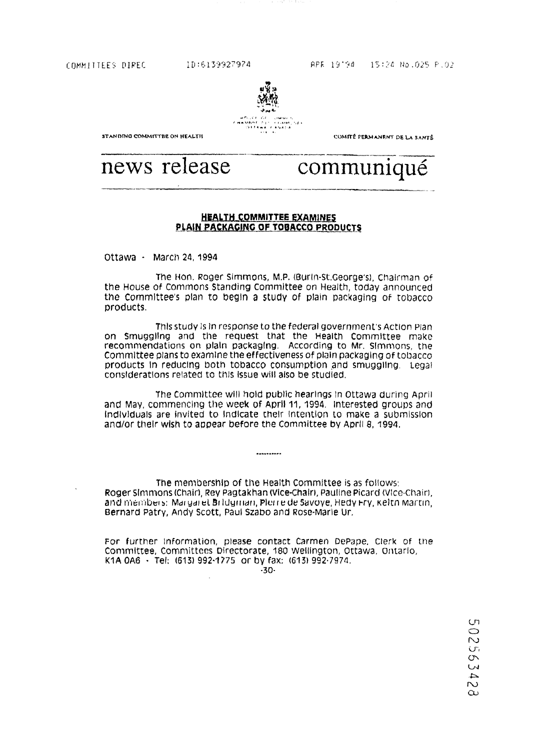COMMITTEES DIREC 1D:6139927974



COMITÉ PERMANENT DE LA SANTÉ

**STANDING COMMITTRE ON HEALTH** 

# news release communiqué

# HEALTH COMMITTEE EXAMINES PLAIN PACKAGING OF TOBACCO PRODUCTS

Ottawa - March 24, 1994

The Hon. Roger Simmons, M.P. (Burln-St.George's), Chairman of the House of Commons Standing Committee on Health, today announced the Committee's plan to begin a study of plain packaging of tobacco products.

This study is in response to the federal government's Action Plan on Smuggling and the request that the Health Committee make recommendations on plain packaging, According to Mr. Simmons, the Committee plans to examine the effectiveness of plain packaging of tobacco products in reducing both tobacco consumption and smuggling . Legal considerations related to this issue will also be studied.

The Committee will hold public hearings in Ottawa during April and May, commencing the week of April 11, 1994 . interested groups and Individuals are invited to Indicate their Intention to make a submission and/or their wish to appear before the Committee by April 8, 1994.

The membership of the Health Committee is as follows : Roger Simmons (Chair), Rey Pagtakhan (Vice-Chair, Pauline Picard (Vice-Chair), and members: Margaret Bridgman, Pierre de Savoye, Hedy Fry, Kelth Martin, Bernard Patry, Andy Scott, Paul Szabo and Rose-Marie Ur .

\*\*\*\*\*\*\*\*\*\*

For further information, please contact Carmen DePape, Clerk of the Committee, Committees Directorate, 180 Wellington, Ottawa, Ontario, K1A OA6 - Tel: (613) 992.1775 or by fax: (613) 992-7974 . •30-

Cn  $\bigcirc$ Z  $\sigma_i$  $\sigma$  $\bar{\mathbf{C}}$  $\overline{\mathcal{A}}$  $\overline{\mathcal{C}}$  $\infty$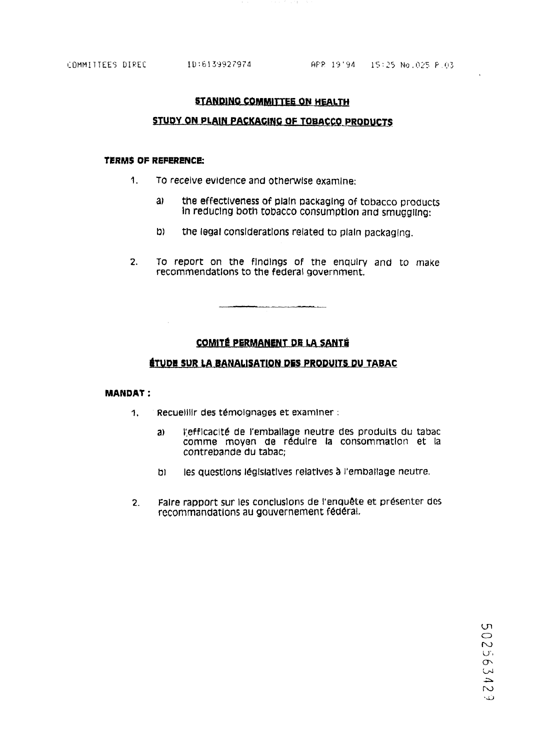# **STANDING COMMITTEE ON HEALTH**

# STUDY ON PLAIN PACKAGING OF TOBACCO PRODUCTS

#### TERMS OF REFERENCE:

- $\mathbf{1}$ To receive evidence and otherwise examine:
	- $a<sub>i</sub>$ the effectiveness of plain packaging of tobacco products In reducing both tobacco consumption and smuggling:
	- b) the legal considerations related to plain packaging.
- $2.$ To report on the findings of the enquiry and to make recommendations to the federal government.

# **COMITÉ PERMANENT DE LA SANTÉ**

# ÉTUDE SUR LA BANALISATION DES PRODUITS DU TABAC

## **MANDAT:**

- Recueillir des témoignages et examiner :  $1.$ 
	- l'efficacité de l'emballage neutre des produits du tabac  $a)$ comme moyen de réduire la consommation et la contrebande du tabac;
	- les questions législatives relatives à l'emballage neutre. וס
- Faire rapport sur les conclusions de l'enquête et présenter des  $2<sub>1</sub>$ recommandations au gouvernement fédéral.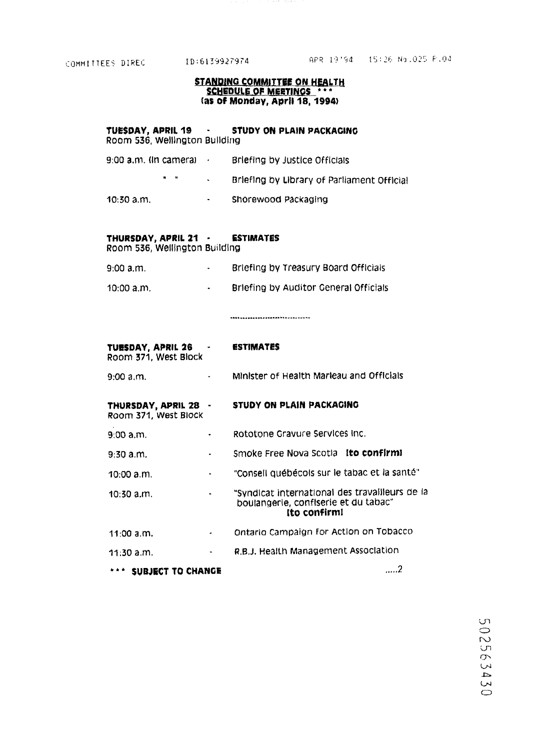# STANDING COMMITTEE ON HEALTH (as Of Monday, April 18, 1994)

# TUESDAY, APRIL 19 - STUDY ON PLAIN PACKAGING Room 536, Wellington Building

- 9:00 a.m. (In camera)  $\sim$ Briefing by Justice Officials  $\mathbf{u} = \mathbf{u}$  .  $\sim 100$ Briefing by Library of Parliament Official
- 10:30 a.m. Shorewood Packaging **Contact**

# THURSDAY, APRIL 21 - ESTIMATES

Room 536, Wellington Building

- 9:00 a.m . Briefing by Treasury Board Officials  $\sim 10^{-10}$
- 10:00 a.m. Briefing by Auditor General Officials  $\sim 10^{-11}$

............. ......... .. .... ---

| TUESDAY, APRIL 26 - - - - -<br>Room 371, West Block |                                                             | <b>ESTIMATES</b>                                                                                       |  |
|-----------------------------------------------------|-------------------------------------------------------------|--------------------------------------------------------------------------------------------------------|--|
| 9:00 a.m.                                           |                                                             | Minister of Health Marieau and Officials                                                               |  |
| THURSDAY, APRIL 28 -<br>Room 371, West Block        |                                                             | STUDY ON PLAIN PACKAGING                                                                               |  |
| $9:00$ a.m.                                         |                                                             | Rototone Gravure Services Inc.                                                                         |  |
| $9:30$ a.m.                                         |                                                             | Smoke Free Nova Scotla Ito confirmi                                                                    |  |
| 10:00 a.m.                                          | $\bullet$                                                   | "Conseil québécois sur le tabac et la santé"                                                           |  |
| $10:30$ a.m.                                        | $\bullet$ .<br><br><br><br><br><br><br><br><br><br><br><br> | "Syndicat international des travailleurs de la<br>boulangerie, confiserie et du tabac"<br>Ito confirm! |  |
| 11:00 a.m.                                          | ۰                                                           | Ontario Campaign for Action on Tobacco                                                                 |  |
| $11:30$ a.m.                                        | $\bullet$ . The $\bullet$                                   | R.B.J. Health Management Association                                                                   |  |
| *** SUBJECT TO CHANGE                               |                                                             |                                                                                                        |  |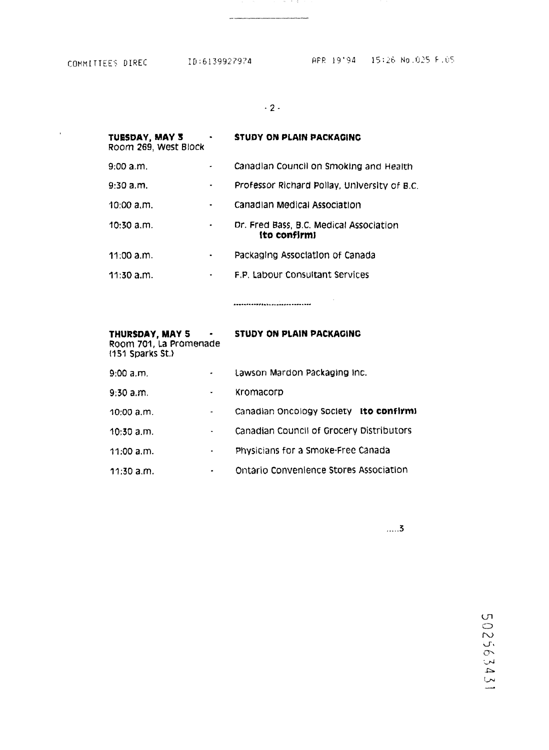$\alpha$  and  $\alpha$ 

•2-

18 M.A.

| TUESDAY, MAY 3<br>Room 269, West Block |   | <b>STUDY ON PLAIN PACKAGING</b>                         |
|----------------------------------------|---|---------------------------------------------------------|
| 9:00 a.m.                              |   | Canadian Council on Smoking and Health                  |
| $9:30$ a.m.                            | ٠ | Professor Richard Pollay, University of B.C.            |
| 10:00 a.m.                             |   | Canadian Medical Association                            |
| 10:30 a.m.                             |   | Dr. Fred Bass, B.C. Medical Association<br>ito confirmi |
| $11:00$ a.m.                           |   | Packaging Association of Canada                         |
| $11:30$ a.m.                           | ٠ | F.P. Labour Consultant Services                         |
|                                        |   |                                                         |

| THURSDAY, MAY 5<br>$\bullet$<br>Room 701, La Promenade<br>(151 Sparks St.) |           | STUDY ON PLAIN PACKAGING                 |  |
|----------------------------------------------------------------------------|-----------|------------------------------------------|--|
| 9:00 a.m.                                                                  | $\bullet$ | Lawson Mardon Packaging Inc.             |  |
| $9:30$ a.m.                                                                | ٠         | Kromacorp                                |  |
| 10:00 a.m.                                                                 | ٠         | Canadian Oncology Society ito confirm:   |  |
| $10:30$ a.m.                                                               |           | Canadian Council of Grocery Distributors |  |
| 11:00 a.m.                                                                 | ۰         | Physicians for a Smoke-Free Canada       |  |
| $11:30$ a.m.                                                               |           | Ontario Convenience Stores Association   |  |

 $\ldots$  .3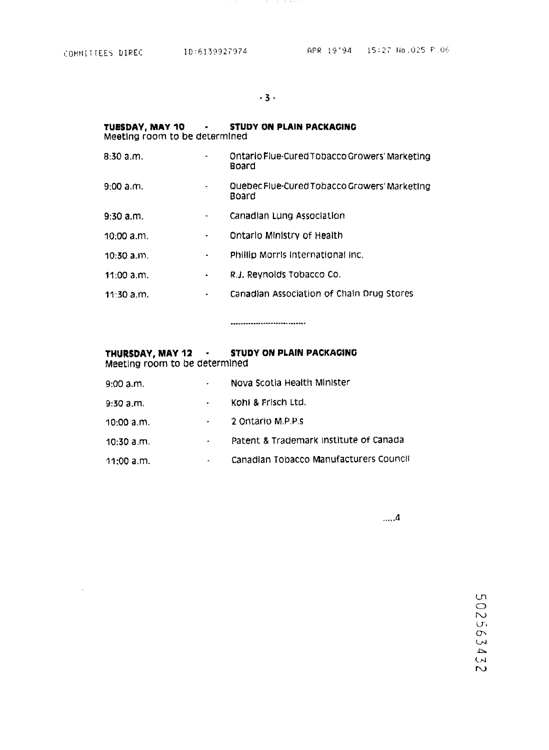$\sim$ 

ing the 40

| Meeting room to be determined |                | TUESDAY, MAY 10 - STUDY ON PLAIN PACKAGING             |
|-------------------------------|----------------|--------------------------------------------------------|
| $8:30$ a.m.                   | ۰              | Ontario Flue-Cured Tobacco Growers' Marketing<br>Board |
| 9:00 a.m.                     | ۰              | Quebec Flue-Cured Tobacco Growers' Marketing<br>Board  |
| $9:30$ a.m.                   | ۰              | Canadian Lung Association                              |
| 10:00 a.m.                    | ۰              | Ontario Ministry of Health                             |
| $10:30$ a.m.                  | ۰              | Phillip Morris International Inc.                      |
| 11:00 a.m.                    | $\blacksquare$ | R.J. Reynolds Tobacco Co.                              |
| $11:30$ a.m.                  |                | Canadian Association of Chain Drug Stores              |

-----------------------------

# THURSDAY, MAY 12 - STUDY ON PLAIN PACKAGING Meeting room to be determined

| 9:00 a.m.    | $\bullet$ . | Nova Scotla Health Minister            |
|--------------|-------------|----------------------------------------|
| 9:30 a.m.    | $\bullet$   | Kohl & Frisch Ltd.                     |
| 10:00 a.m.   |             | 2 Ontario M.P.P.s                      |
| $10:30$ a.m. | ۰           | Patent & Trademark Institute of Canada |
| 11:00 a.m.   |             | Canadian Tobacco Manufacturers Council |

 $\dots$  .4